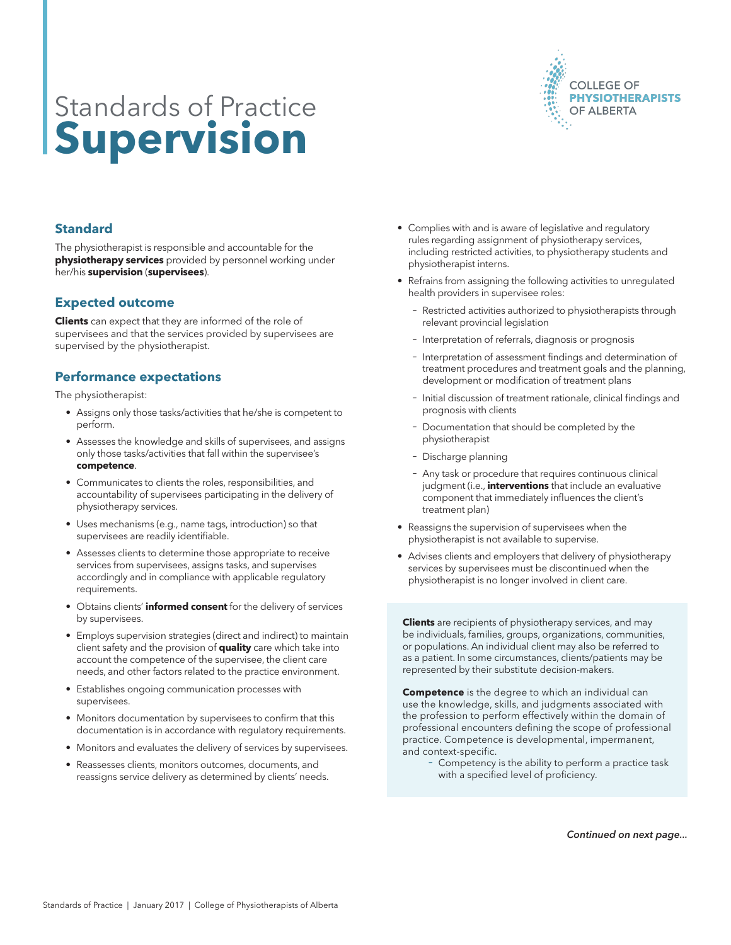

# Standards of Practice **Supervision**

# **Standard**

The physiotherapist is responsible and accountable for the **physiotherapy services** provided by personnel working under her/his **supervision** (**supervisees**).

### **Expected outcome**

**Clients** can expect that they are informed of the role of supervisees and that the services provided by supervisees are supervised by the physiotherapist.

# **Performance expectations**

The physiotherapist:

- Assigns only those tasks/activities that he/she is competent to perform.
- Assesses the knowledge and skills of supervisees, and assigns only those tasks/activities that fall within the supervisee's **competence**.
- Communicates to clients the roles, responsibilities, and accountability of supervisees participating in the delivery of physiotherapy services.
- Uses mechanisms (e.g., name tags, introduction) so that supervisees are readily identifiable.
- Assesses clients to determine those appropriate to receive services from supervisees, assigns tasks, and supervises accordingly and in compliance with applicable regulatory requirements.
- Obtains clients' **informed consent** for the delivery of services by supervisees.
- Employs supervision strategies (direct and indirect) to maintain client safety and the provision of **quality** care which take into account the competence of the supervisee, the client care needs, and other factors related to the practice environment.
- Establishes ongoing communication processes with supervisees.
- Monitors documentation by supervisees to confirm that this documentation is in accordance with regulatory requirements.
- Monitors and evaluates the delivery of services by supervisees.
- Reassesses clients, monitors outcomes, documents, and reassigns service delivery as determined by clients' needs.
- Complies with and is aware of legislative and regulatory rules regarding assignment of physiotherapy services, including restricted activities, to physiotherapy students and physiotherapist interns.
- Refrains from assigning the following activities to unregulated health providers in supervisee roles:
	- − Restricted activities authorized to physiotherapists through relevant provincial legislation
	- − Interpretation of referrals, diagnosis or prognosis
	- − Interpretation of assessment findings and determination of treatment procedures and treatment goals and the planning, development or modification of treatment plans
	- − Initial discussion of treatment rationale, clinical findings and prognosis with clients
	- Documentation that should be completed by the physiotherapist
	- − Discharge planning
	- − Any task or procedure that requires continuous clinical judgment (i.e., **interventions** that include an evaluative component that immediately influences the client's treatment plan)
- Reassigns the supervision of supervisees when the physiotherapist is not available to supervise.
- Advises clients and employers that delivery of physiotherapy services by supervisees must be discontinued when the physiotherapist is no longer involved in client care.

**Clients** are recipients of physiotherapy services, and may be individuals, families, groups, organizations, communities, or populations. An individual client may also be referred to as a patient. In some circumstances, clients/patients may be represented by their substitute decision-makers.

**Competence** is the degree to which an individual can use the knowledge, skills, and judgments associated with the profession to perform effectively within the domain of professional encounters defining the scope of professional practice. Competence is developmental, impermanent, and context-specific.

Competency is the ability to perform a practice task with a specified level of proficiency.

*Continued on next page...*